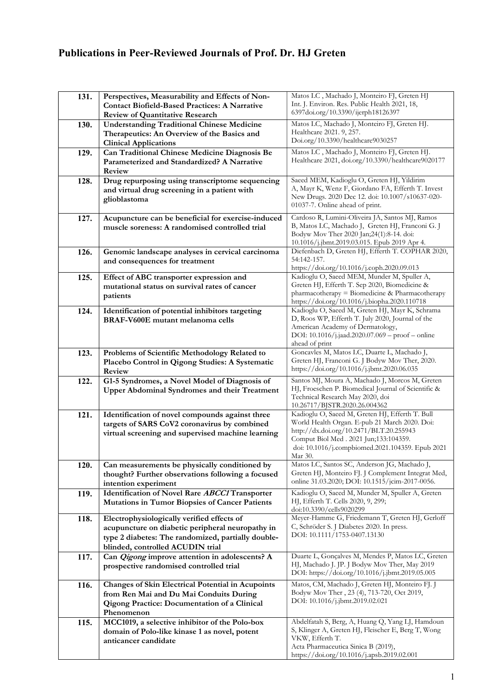## Publications in Peer-Reviewed Journals of Prof. Dr. HJ Greten

| 131. | Perspectives, Measurability and Effects of Non-<br><b>Contact Biofield-Based Practices: A Narrative</b><br><b>Review of Quantitative Research</b>                                        | Matos LC, Machado J, Monteiro FJ, Greten HJ<br>Int. J. Environ. Res. Public Health 2021, 18,<br>6397doi.org/10.3390/ijerph18126397                                                                                                                   |
|------|------------------------------------------------------------------------------------------------------------------------------------------------------------------------------------------|------------------------------------------------------------------------------------------------------------------------------------------------------------------------------------------------------------------------------------------------------|
| 130. | <b>Understanding Traditional Chinese Medicine</b><br>Therapeutics: An Overview of the Basics and<br><b>Clinical Applications</b>                                                         | Matos LC, Machado J, Monteiro FJ, Greten HJ.<br>Healthcare 2021. 9, 257.<br>Doi.org/10.3390/healthcare9030257                                                                                                                                        |
| 129. | Can Traditional Chinese Medicine Diagnosis Be<br>Parameterized and Standardized? A Narrative<br>Review                                                                                   | Matos LC, Machado J, Monteiro FJ, Greten HJ.<br>Healthcare 2021, doi.org/10.3390/healthcare9020177                                                                                                                                                   |
| 128. | Drug repurposing using transcriptome sequencing<br>and virtual drug screening in a patient with<br>glioblastoma                                                                          | Saeed MEM, Kadioglu O, Greten HJ, Yildirim<br>A, Mayr K, Wenz F, Giordano FA, Efferth T. Invest<br>New Drugs. 2020 Dec 12. doi: 10.1007/s10637-020-<br>01037-7. Online ahead of print.                                                               |
| 127. | Acupuncture can be beneficial for exercise-induced<br>muscle soreness: A randomised controlled trial                                                                                     | Cardoso R, Lumini-Oliveira JA, Santos MJ, Ramos<br>B, Matos LC, Machado J, Greten HJ, Franconi G. J<br>Bodyw Mov Ther 2020 Jan;24(1):8-14. doi:<br>10.1016/j.jbmt.2019.03.015. Epub 2019 Apr 4.                                                      |
| 126. | Genomic landscape analyses in cervical carcinoma<br>and consequences for treatment                                                                                                       | Diefenbach D, Greten HJ, Efferth T. COPHAR 2020,<br>54:142-157.<br>https://doi.org/10.1016/j.coph.2020.09.013                                                                                                                                        |
| 125. | Effect of ABC transporter expression and<br>mutational status on survival rates of cancer<br>patients                                                                                    | Kadioglu O, Saeed MEM, Munder M, Spuller A,<br>Greten HJ, Efferth T. Sep 2020, Biomedicine &<br>pharmacotherapy = Biomedicine & Pharmacotherapy<br>https://doi.org/10.1016/j.biopha.2020.110718                                                      |
| 124. | Identification of potential inhibitors targeting<br>BRAF-V600E mutant melanoma cells                                                                                                     | Kadioglu O, Saeed M, Greten HJ, Mayr K, Schrama<br>D, Roos WP, Efferth T. July 2020, Journal of the<br>American Academy of Dermatology,<br>DOI: 10.1016/j.jaad.2020.07.069 - proof - online<br>ahead of print                                        |
| 123. | Problems of Scientific Methodology Related to<br>Placebo Control in Qigong Studies: A Systematic<br>Review                                                                               | Goncavles M, Matos LC, Duarte L, Machado J,<br>Greten HJ, Franconi G. J Bodyw Mov Ther, 2020.<br>https://doi.org/10.1016/j.jbmt.2020.06.035                                                                                                          |
| 122. | G1-5 Syndromes, a Novel Model of Diagnosis of<br><b>Upper Abdominal Syndromes and their Treatment</b>                                                                                    | Santos MJ, Moura A, Machado J, Morcos M, Greten<br>HJ, Froeschen P. Biomedical Journal of Scientific &<br>Technical Research May 2020, doi<br>10.26717/BJSTR.2020.26.004362                                                                          |
| 121. | Identification of novel compounds against three<br>targets of SARS CoV2 coronavirus by combined<br>virtual screening and supervised machine learning                                     | Kadioglu O, Saeed M, Greten HJ, Efferth T. Bull<br>World Health Organ. E-pub 21 March 2020. Doi:<br>http://dx.doi.org/10.2471/BLT.20.255943<br>Comput Biol Med . 2021 Jun;133:104359.<br>doi: 10.1016/j.compbiomed.2021.104359. Epub 2021<br>Mar 30. |
| 120. | Can measurements be physically conditioned by<br>thought? Further observations following a focused<br>intention experiment                                                               | Matos LC, Santos SC, Anderson JG, Machado J,<br>Greten HJ, Monteiro FJ. J Complement Integrat Med,<br>online 31.03.2020; DOI: 10.1515/jcim-2017-0056.                                                                                                |
| 119. | Identification of Novel Rare ABCC1 Transporter<br><b>Mutations in Tumor Biopsies of Cancer Patients</b>                                                                                  | Kadioglu O, Saeed M, Munder M, Spuller A, Greten<br>HJ, Efferth T. Cells 2020, 9, 299;<br>doi:10.3390/cells9020299                                                                                                                                   |
| 118. | Electrophysiologically verified effects of<br>acupuncture on diabetic peripheral neuropathy in<br>type 2 diabetes: The randomized, partially double-<br>blinded, controlled ACUDIN trial | Meyer-Hamme G, Friedemann T, Greten HJ, Gerloff<br>C, Schröder S. J Diabetes 2020. In press.<br>DOI: 10.1111/1753-0407.13130                                                                                                                         |
| 117. | Can Qigong improve attention in adolescents? A<br>prospective randomised controlled trial                                                                                                | Duarte L, Gonçalves M, Mendes P, Matos LC, Greten<br>HJ, Machado J. JP. J Bodyw Mov Ther, May 2019<br>DOI: https://doi.org/10.1016/j.jbmt.2019.05.005                                                                                                |
| 116. | <b>Changes of Skin Electrical Potential in Acupoints</b><br>from Ren Mai and Du Mai Conduits During<br><b>Qigong Practice: Documentation of a Clinical</b><br>Phenomenon                 | Matos, CM, Machado J, Greten HJ, Monteiro FJ. J<br>Bodyw Mov Ther, 23 (4), 713-720, Oct 2019,<br>DOI: 10.1016/j.jbmt.2019.02.021                                                                                                                     |
| 115. | MCC1019, a selective inhibitor of the Polo-box<br>domain of Polo-like kinase 1 as novel, potent<br>anticancer candidate                                                                  | Abdelfatah S, Berg, A, Huang Q, Yang LJ, Hamdoun<br>S, Klinger A, Greten HJ, Fleischer E, Berg T, Wong<br>VKW, Efferth T.<br>Acta Pharmaceutica Sinica B (2019),<br>https://doi.org/10.1016/j.apsb.2019.02.001                                       |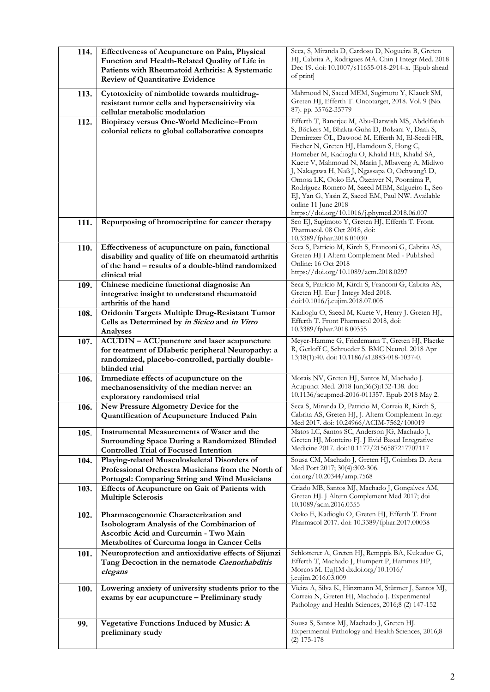| 114.        | Effectiveness of Acupuncture on Pain, Physical                                                     | Seca, S, Miranda D, Cardoso D, Nogueira B, Greten                                                  |
|-------------|----------------------------------------------------------------------------------------------------|----------------------------------------------------------------------------------------------------|
|             | Function and Health-Related Quality of Life in                                                     | HJ, Cabrita A, Rodrigues MA. Chin J Integr Med. 2018                                               |
|             | Patients with Rheumatoid Arthritis: A Systematic                                                   | Dec 19. doi: 10.1007/s11655-018-2914-x. [Epub ahead<br>of print                                    |
|             | <b>Review of Quantitative Evidence</b>                                                             |                                                                                                    |
| 113.        | Cytotoxicity of nimbolide towards multidrug-                                                       | Mahmoud N, Saeed MEM, Sugimoto Y, Klauck SM,                                                       |
|             | resistant tumor cells and hypersensitivity via                                                     | Greten HJ, Efferth T. Oncotarget, 2018. Vol. 9 (No.                                                |
|             | cellular metabolic modulation                                                                      | 87). pp. 35762-35779                                                                               |
| 112.        | Biopiracy versus One-World Medicine-From                                                           | Efferth T, Banerjee M, Abu-Darwish MS, Abdelfatah                                                  |
|             | colonial relicts to global collaborative concepts                                                  | S, Böckers M, Bhakta-Guha D, Bolzani V, Daak S,<br>Demirezer OL, Dawood M, Efferth M, El-Seedi HR, |
|             |                                                                                                    | Fischer N, Greten HJ, Hamdoun S, Hong C,                                                           |
|             |                                                                                                    | Horneber M, Kadioglu O, Khalid HE, Khalid SA,                                                      |
|             |                                                                                                    | Kuete V, Mahmoud N, Marin J, Mbaveng A, Midiwo                                                     |
|             |                                                                                                    | J, Nakagawa H, Naß J, Ngassapa O, Ochwang'i D,<br>Omosa LK, Ooko EA, Ozenver N, Poornima P,        |
|             |                                                                                                    | Rodriguez Romero M, Saeed MEM, Salgueiro L, Seo                                                    |
|             |                                                                                                    | EJ, Yan G, Yasin Z, Saeed EM, Paul NW. Available                                                   |
|             |                                                                                                    | online 11 June 2018                                                                                |
| 111.        | Repurposing of bromocriptine for cancer therapy                                                    | https://doi.org/10.1016/j.phymed.2018.06.007<br>Seo EJ, Sugimoto Y, Greten HJ, Efferth T. Front.   |
|             |                                                                                                    | Pharmacol. 08 Oct 2018, doi:                                                                       |
|             |                                                                                                    | 10.3389/fphar.2018.01030                                                                           |
| 110.        | Effectiveness of acupuncture on pain, functional                                                   | Seca S, Patrício M, Kirch S, Franconi G, Cabrita AS,                                               |
|             | disability and quality of life on rheumatoid arthritis                                             | Greten HJ J Altern Complement Med - Published<br>Online: 16 Oct 2018                               |
|             | of the hand – results of a double-blind randomized<br>clinical trial                               | https://doi.org/10.1089/acm.2018.0297                                                              |
| 109.        | Chinese medicine functional diagnosis: An                                                          | Seca S, Patrício M, Kirch S, Franconi G, Cabrita AS,                                               |
|             | integrative insight to understand rheumatoid                                                       | Greten HJ. Eur J Integr Med 2018.                                                                  |
|             | arthritis of the hand                                                                              | doi:10.1016/j.eujim.2018.07.005                                                                    |
| 108.        | Oridonin Targets Multiple Drug-Resistant Tumor                                                     | Kadioglu O, Saeed M, Kuete V, Henry J. Greten HJ,                                                  |
|             | Cells as Determined by in Sicico and in Vitro<br>Analyses                                          | Efferth T. Front Pharmacol 2018, doi:<br>10.3389/fphar.2018.00355                                  |
| 107.        | ACUDIN - ACUpuncture and laser acupuncture                                                         | Meyer-Hamme G, Friedemann T, Greten HJ, Plaetke                                                    |
|             | for treatment of DIabetic peripheral Neuropathy: a                                                 | R, Gerloff C, Schroeder S. BMC Neurol. 2018 Apr                                                    |
|             | randomized, placebo-controlled, partially double-                                                  | 13;18(1):40. doi: 10.1186/s12883-018-1037-0.                                                       |
|             | blinded trial                                                                                      |                                                                                                    |
| 106.        | Immediate effects of acupuncture on the                                                            | Morais NV, Greten HJ, Santos M, Machado J.<br>Acupunct Med. 2018 Jun;36(3):132-138. doi:           |
|             | mechanosensitivity of the median nerve: an<br>exploratory randomised trial                         | 10.1136/acupmed-2016-011357. Epub 2018 May 2.                                                      |
| 106.        | New Pressure Algometry Device for the                                                              | Seca S, Miranda D, Patricio M, Correia R, Kirch S,                                                 |
|             | Quantification of Acupuncture Induced Pain                                                         | Cabrita AS, Greten HJ, J. Altern Complement Integr                                                 |
|             |                                                                                                    | Med 2017. doi: 10.24966/ACIM-7562/100019                                                           |
| 105.        | Instrumental Measurements of Water and the<br><b>Surrounding Space During a Randomized Blinded</b> | Matos LC, Santos SC, Anderson JG, Machado J,<br>Greten HJ, Monteiro FJ. J Evid Based Integrative   |
|             | <b>Controlled Trial of Focused Intention</b>                                                       | Medicine 2017. doi:10.1177/2156587217707117                                                        |
| 104.        | Playing-related Musculoskeletal Disorders of                                                       | Sousa CM, Machado J, Greten HJ, Coimbra D. Acta                                                    |
|             | Professional Orchestra Musicians from the North of                                                 | Med Port 2017; 30(4):302-306.                                                                      |
|             | Portugal: Comparing String and Wind Musicians                                                      | doi.org/10.20344/amp.7568                                                                          |
| 103.        | Effects of Acupuncture on Gait of Patients with                                                    | Criado MB, Santos MJ, Machado J, Gonçalves AM,                                                     |
|             | <b>Multiple Sclerosis</b>                                                                          | Greten HJ. J Altern Complement Med 2017; doi<br>10.1089/acm.2016.0355                              |
| 102.        | Pharmacogenomic Characterization and                                                               | Ooko E, Kadioglu O, Greten HJ, Efferth T. Front                                                    |
|             | Isobologram Analysis of the Combination of                                                         | Pharmacol 2017. doi: 10.3389/fphar.2017.00038                                                      |
|             | Ascorbic Acid and Curcumin - Two Main                                                              |                                                                                                    |
|             | Metabolites of Curcuma longa in Cancer Cells                                                       |                                                                                                    |
| 101.        | Neuroprotection and antioxidative effects of Sijunzi                                               | Schlotterer A, Greten HJ, Remppis BA, Kukudov G,                                                   |
|             | Tang Decoction in the nematode Caenorhabditis<br>elegans                                           | Efferth T, Machado J, Humpert P, Hammes HP,<br>Morcos M. EuJIM dxdoi.org/10.1016/                  |
|             |                                                                                                    | j.eujim.2016.03.009                                                                                |
| <b>100.</b> | Lowering anxiety of university students prior to the                                               | Vieira A, Silva K, Hinzmann M, Stürmer J, Santos MJ,                                               |
|             | exams by ear acupuncture - Preliminary study                                                       | Correia N, Greten HJ, Machado J. Experimental<br>Pathology and Health Sciences, 2016;8 (2) 147-152 |
|             |                                                                                                    |                                                                                                    |
| 99.         | <b>Vegetative Functions Induced by Music: A</b>                                                    | Sousa S, Santos MJ, Machado J, Greten HJ.                                                          |
|             | preliminary study                                                                                  | Experimental Pathology and Health Sciences, 2016;8                                                 |
|             |                                                                                                    | $(2)$ 175-178                                                                                      |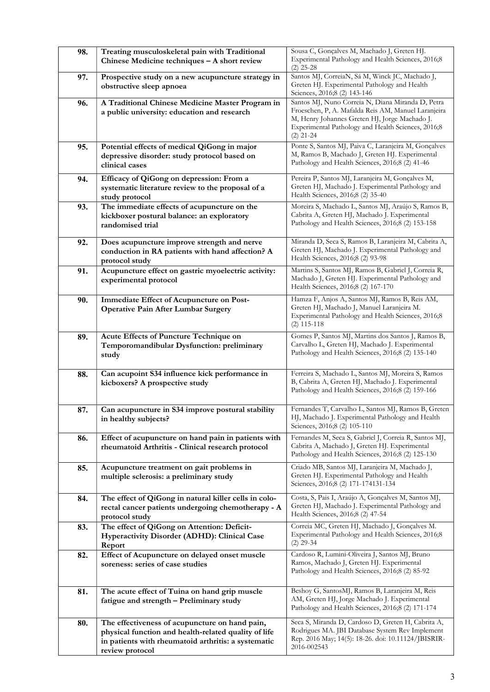| 98. | Treating musculoskeletal pain with Traditional<br>Chinese Medicine techniques - A short review                                                                                   | Sousa C, Gonçalves M, Machado J, Greten HJ.<br>Experimental Pathology and Health Sciences, 2016;8<br>$(2)$ 25-28                                                                                                               |
|-----|----------------------------------------------------------------------------------------------------------------------------------------------------------------------------------|--------------------------------------------------------------------------------------------------------------------------------------------------------------------------------------------------------------------------------|
| 97. | Prospective study on a new acupuncture strategy in<br>obstructive sleep apnoea                                                                                                   | Santos MJ, CorreiaN, Sá M, Winck JC, Machado J,<br>Greten HJ. Experimental Pathology and Health<br>Sciences, 2016;8 (2) 143-146                                                                                                |
| 96. | A Traditional Chinese Medicine Master Program in<br>a public university: education and research                                                                                  | Santos MJ, Nuno Correia N, Diana Miranda D, Petra<br>Froeschen, P, A. Mafalda Reis AM, Manuel Laranjeira<br>M, Henry Johannes Greten HJ, Jorge Machado J.<br>Experimental Pathology and Health Sciences, 2016;8<br>$(2)$ 21-24 |
| 95. | Potential effects of medical QiGong in major<br>depressive disorder: study protocol based on<br>clinical cases                                                                   | Ponte S, Santos MJ, Paiva C, Laranjeira M, Gonçalves<br>M, Ramos B, Machado J, Greten HJ. Experimental<br>Pathology and Health Sciences, 2016;8 (2) 41-46                                                                      |
| 94. | Efficacy of QiGong on depression: From a<br>systematic literature review to the proposal of a<br>study protocol                                                                  | Pereira P, Santos MJ, Laranjeira M, Gonçalves M,<br>Greten HJ, Machado J. Experimental Pathology and<br>Health Sciences, 2016;8 (2) 35-40                                                                                      |
| 93. | The immediate effects of acupuncture on the<br>kickboxer postural balance: an exploratory<br>randomised trial                                                                    | Moreira S, Machado L, Santos MJ, Araújo S, Ramos B,<br>Cabrita A, Greten HJ, Machado J. Experimental<br>Pathology and Health Sciences, 2016;8 (2) 153-158                                                                      |
| 92. | Does acupuncture improve strength and nerve<br>conduction in RA patients with hand affection? A<br>protocol study                                                                | Miranda D, Seca S, Ramos B, Laranjeira M, Cabrita A,<br>Greten HJ, Machado J. Experimental Pathology and<br>Health Sciences, 2016;8 (2) 93-98                                                                                  |
| 91. | Acupuncture effect on gastric myoelectric activity:<br>experimental protocol                                                                                                     | Martins S, Santos MJ, Ramos B, Gabriel J, Correia R,<br>Machado J, Greten HJ. Experimental Pathology and<br>Health Sciences, 2016;8 (2) 167-170                                                                                |
| 90. | <b>Immediate Effect of Acupuncture on Post-</b><br><b>Operative Pain After Lumbar Surgery</b>                                                                                    | Hamza F, Anjos A, Santos MJ, Ramos B, Reis AM,<br>Greten HJ, Machado J, Manuel Laranjeira M.<br>Experimental Pathology and Health Sciences, 2016;8<br>$(2)$ 115-118                                                            |
| 89. | Acute Effects of Puncture Technique on<br>Temporomandibular Dysfunction: preliminary<br>study                                                                                    | Gomes P, Santos MJ, Martins dos Santos J, Ramos B,<br>Carvalho L, Greten HJ, Machado J. Experimental<br>Pathology and Health Sciences, 2016;8 (2) 135-140                                                                      |
| 88. | Can acupoint S34 influence kick performance in<br>kicboxers? A prospective study                                                                                                 | Ferreira S, Machado L, Santos MJ, Moreira S, Ramos<br>B, Cabrita A, Greten HJ, Machado J. Experimental<br>Pathology and Health Sciences, 2016;8 (2) 159-166                                                                    |
| 87. | Can acupuncture in S34 improve postural stability<br>in healthy subjects?                                                                                                        | Fernandes T, Carvalho L, Santos MJ, Ramos B, Greten<br>HJ, Machado J. Experimental Pathology and Health<br>Sciences, 2016;8 (2) 105-110                                                                                        |
| 86. | Effect of acupuncture on hand pain in patients with<br>rheumatoid Arthritis - Clinical research protocol                                                                         | Fernandes M, Seca S, Gabriel J, Correia R, Santos MJ,<br>Cabrita A, Machado J, Greten HJ. Experimental<br>Pathology and Health Sciences, 2016;8 (2) 125-130                                                                    |
| 85. | Acupuncture treatment on gait problems in<br>multiple sclerosis: a preliminary study                                                                                             | Criado MB, Santos MJ, Laranjeira M, Machado J,<br>Greten HJ. Experimental Pathology and Health<br>Sciences, 2016;8 (2) 171-174131-134                                                                                          |
| 84. | The effect of QiGong in natural killer cells in colo-<br>rectal cancer patients undergoing chemotherapy - A<br>protocol study                                                    | Costa, S, Pais I, Araújo A, Gonçalves M, Santos MJ,<br>Greten HJ, Machado J. Experimental Pathology and<br>Health Sciences, 2016;8 (2) 47-54                                                                                   |
| 83. | The effect of QiGong on Attention: Deficit-<br>Hyperactivity Disorder (ADHD): Clinical Case<br>Report                                                                            | Correia MC, Greten HJ, Machado J, Gonçalves M.<br>Experimental Pathology and Health Sciences, 2016;8<br>$(2)$ 29-34                                                                                                            |
| 82. | Effect of Acupuncture on delayed onset muscle<br>soreness: series of case studies                                                                                                | Cardoso R, Lumini-Oliveira J, Santos MJ, Bruno<br>Ramos, Machado J, Greten HJ. Experimental<br>Pathology and Health Sciences, 2016;8 (2) 85-92                                                                                 |
| 81. | The acute effect of Tuina on hand grip muscle<br>fatigue and strength - Preliminary study                                                                                        | Beshoy G, SantosMJ, Ramos B, Laranjeira M, Reis<br>AM, Greten HJ, Jorge Machado J. Experimental<br>Pathology and Health Sciences, 2016;8 (2) 171-174                                                                           |
| 80. | The effectiveness of acupuncture on hand pain,<br>physical function and health-related quality of life<br>in patients with rheumatoid arthritis: a systematic<br>review protocol | Seca S, Miranda D, Cardoso D, Greten H, Cabrita A,<br>Rodrigues MA. JBI Database System Rev Implement<br>Rep. 2016 May; 14(5): 18-26. doi: 10.11124/JBISRIR-<br>2016-002543                                                    |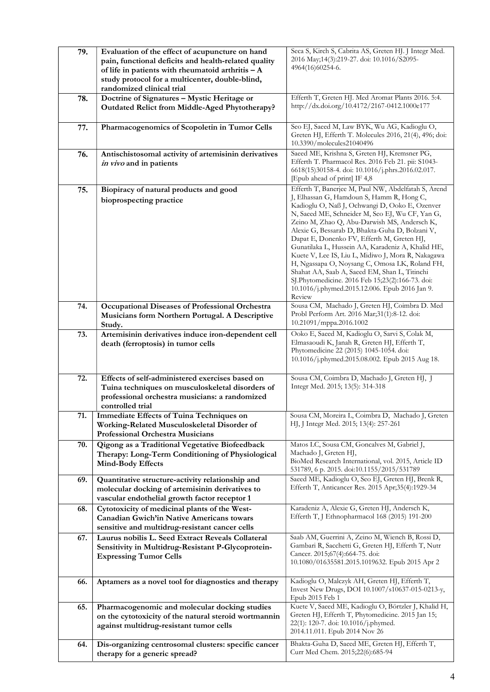| 79. | Evaluation of the effect of acupuncture on hand<br>pain, functional deficits and health-related quality<br>of life in patients with rheumatoid arthritis $-A$<br>study protocol for a multicenter, double-blind, | Seca S, Kirch S, Cabrita AS, Greten HJ. J Integr Med.<br>2016 May;14(3):219-27. doi: 10.1016/S2095-<br>4964(16)60254-6.                                                                                                                                                                                                                                                                                                                                                                                                                                                                                                                                                              |
|-----|------------------------------------------------------------------------------------------------------------------------------------------------------------------------------------------------------------------|--------------------------------------------------------------------------------------------------------------------------------------------------------------------------------------------------------------------------------------------------------------------------------------------------------------------------------------------------------------------------------------------------------------------------------------------------------------------------------------------------------------------------------------------------------------------------------------------------------------------------------------------------------------------------------------|
| 78. | randomized clinical trial<br>Doctrine of Signatures - Mystic Heritage or<br>Outdated Relict from Middle-Aged Phytotherapy?                                                                                       | Efferth T, Greten HJ. Med Aromat Plants 2016. 5:4.<br>http://dx.doi.org/10.4172/2167-0412.1000e177                                                                                                                                                                                                                                                                                                                                                                                                                                                                                                                                                                                   |
| 77. | Pharmacogenomics of Scopoletin in Tumor Cells                                                                                                                                                                    | Seo EJ, Saeed M, Law BYK, Wu AG, Kadioglu O,<br>Greten HJ, Efferth T. Molecules 2016, 21(4), 496; doi:<br>10.3390/molecules21040496                                                                                                                                                                                                                                                                                                                                                                                                                                                                                                                                                  |
| 76. | Antischistosomal activity of artemisinin derivatives<br>in vivo and in patients                                                                                                                                  | Saeed ME, Krishna S, Greten HJ, Kremsner PG,<br>Efferth T. Pharmacol Res. 2016 Feb 21. pii: S1043-<br>6618(15)30158-4. doi: 10.1016/j.phrs.2016.02.017.<br>[Epub ahead of print] IF 4,8                                                                                                                                                                                                                                                                                                                                                                                                                                                                                              |
| 75. | Biopiracy of natural products and good<br>bioprospecting practice                                                                                                                                                | Efferth T, Banerjee M, Paul NW, Abdelfatah S, Arend<br>J, Elhassan G, Hamdoun S, Hamm R, Hong C,<br>Kadioglu O, Naß J, Ochwangi D, Ooko E, Ozenver<br>N, Saeed ME, Schneider M, Seo EJ, Wu CF, Yan G,<br>Zeino M, Zhao Q, Abu-Darwish MS, Andersch K,<br>Alexie G, Bessarab D, Bhakta-Guha D, Bolzani V,<br>Dapat E, Donenko FV, Efferth M, Greten HJ,<br>Gunatilaka L, Hussein AA, Karadeniz A, Khalid HE,<br>Kuete V, Lee IS, Liu L, Midiwo J, Mora R, Nakagawa<br>H, Ngassapa O, Noysang C, Omosa LK, Roland FH,<br>Shahat AA, Saab A, Saeed EM, Shan L, Titinchi<br>SJ.Phytomedicine. 2016 Feb 15;23(2):166-73. doi:<br>10.1016/j.phymed.2015.12.006. Epub 2016 Jan 9.<br>Review |
| 74. | Occupational Diseases of Professional Orchestra<br>Musicians form Northern Portugal. A Descriptive<br>Study.                                                                                                     | Sousa CM, Machado J, Greten HJ, Coimbra D. Med<br>Probl Perform Art. 2016 Mar;31(1):8-12. doi:<br>10.21091/mppa.2016.1002                                                                                                                                                                                                                                                                                                                                                                                                                                                                                                                                                            |
| 73. | Artemisinin derivatives induce iron-dependent cell<br>death (ferroptosis) in tumor cells                                                                                                                         | Ooko E, Saeed M, Kadioglu O, Sarvi S, Colak M,<br>Elmasaoudi K, Janah R, Greten HJ, Efferth T,<br>Phytomedicine 22 (2015) 1045-1054. doi:<br>10.1016/j.phymed.2015.08.002. Epub 2015 Aug 18.                                                                                                                                                                                                                                                                                                                                                                                                                                                                                         |
| 72. | Effects of self-administered exercises based on<br>Tuina techniques on musculoskeletal disorders of<br>professional orchestra musicians: a randomized<br>controlled trial                                        | Sousa CM, Coimbra D, Machado J, Greten HJ, J<br>Integr Med. 2015; 13(5): 314-318                                                                                                                                                                                                                                                                                                                                                                                                                                                                                                                                                                                                     |
| 71. | <b>Immediate Effects of Tuina Techniques on</b><br>Working-Related Musculoskeletal Disorder of<br><b>Professional Orchestra Musicians</b>                                                                        | Sousa CM, Moreira L, Coimbra D, Machado J, Greten<br>HJ, J Integr Med. 2015; 13(4): 257-261                                                                                                                                                                                                                                                                                                                                                                                                                                                                                                                                                                                          |
| 70. | Qigong as a Traditional Vegetative Biofeedback<br>Therapy: Long-Term Conditioning of Physiological<br>Mind-Body Effects                                                                                          | Matos LC, Sousa CM, Goncalves M, Gabriel J,<br>Machado J, Greten HJ,<br>BioMed Research International, vol. 2015, Article ID<br>531789, 6 p. 2015. doi:10.1155/2015/531789                                                                                                                                                                                                                                                                                                                                                                                                                                                                                                           |
| 69. | Quantitative structure-activity relationship and<br>molecular docking of artemisinin derivatives to<br>vascular endothelial growth factor receptor 1                                                             | Saeed ME, Kadioglu O, Seo EJ, Greten HJ, Brenk R,<br>Efferth T, Anticancer Res. 2015 Apr;35(4):1929-34                                                                                                                                                                                                                                                                                                                                                                                                                                                                                                                                                                               |
| 68. | Cytotoxicity of medicinal plants of the West-<br>Canadian Gwich'in Native Americans towars<br>sensitive and multidrug-resistant cancer cells                                                                     | Karadeniz A, Alexie G, Greten HJ, Andersch K,<br>Efferth T, J Ethnopharmacol 168 (2015) 191-200                                                                                                                                                                                                                                                                                                                                                                                                                                                                                                                                                                                      |
| 67. | Laurus nobilis L. Seed Extract Reveals Collateral<br>Sensitivity in Multidrug-Resistant P-Glycoprotein-<br><b>Expressing Tumor Cells</b>                                                                         | Saab AM, Guerrini A, Zeino M, Wiench B, Rossi D,<br>Gambari R, Sacchetti G, Greten HJ, Efferth T, Nutr<br>Cancer. 2015;67(4):664-75. doi:<br>10.1080/01635581.2015.1019632. Epub 2015 Apr 2                                                                                                                                                                                                                                                                                                                                                                                                                                                                                          |
| 66. | Aptamers as a novel tool for diagnostics and therapy                                                                                                                                                             | Kadioglu O, Malczyk AH, Greten HJ, Efferth T,<br>Invest New Drugs, DOI 10.1007/s10637-015-0213-y,<br>Epub 2015 Feb 1                                                                                                                                                                                                                                                                                                                                                                                                                                                                                                                                                                 |
| 65. | Pharmacogenomic and molecular docking studies<br>on the cytotoxicity of the natural steroid wortmannin<br>against multidrug-resistant tumor cells                                                                | Kuete V, Saeed ME, Kadioglu O, Börtzler J, Khalid H,<br>Greten HJ, Efferth T, Phytomedicine. 2015 Jan 15;<br>22(1): 120-7. doi: 10.1016/j.phymed.<br>2014.11.011. Epub 2014 Nov 26                                                                                                                                                                                                                                                                                                                                                                                                                                                                                                   |
| 64. | Dis-organizing centrosomal clusters: specific cancer<br>therapy for a generic spread?                                                                                                                            | Bhakta-Guha D, Saeed ME, Greten HJ, Efferth T,<br>Curr Med Chem. 2015;22(6):685-94                                                                                                                                                                                                                                                                                                                                                                                                                                                                                                                                                                                                   |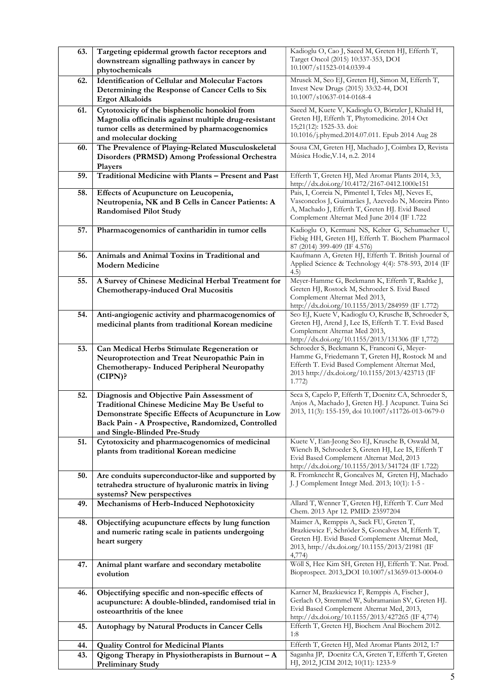| 63.        | Targeting epidermal growth factor receptors and<br>downstream signalling pathways in cancer by<br>phytochemicals                                                                                                                       | Kadioglu O, Cao J, Saeed M, Greten HJ, Efferth T,<br>Target Oncol (2015) 10:337-353, DOI<br>10.1007/s11523-014.0339-4                                                                                        |
|------------|----------------------------------------------------------------------------------------------------------------------------------------------------------------------------------------------------------------------------------------|--------------------------------------------------------------------------------------------------------------------------------------------------------------------------------------------------------------|
| 62.        | <b>Identification of Cellular and Molecular Factors</b><br>Determining the Response of Cancer Cells to Six<br><b>Ergot Alkaloids</b>                                                                                                   | Mrusek M, Seo EJ, Greten HJ, Simon M, Efferth T,<br>Invest New Drugs (2015) 33:32-44, DOI<br>10.1007/s10637-014-0168-4                                                                                       |
| 61.        | Cytotoxicity of the bisphenolic honokiol from<br>Magnolia officinalis against multiple drug-resistant<br>tumor cells as determined by pharmacogenomics<br>and molecular docking                                                        | Saeed M, Kuete V, Kadioglu O, Börtzler J, Khalid H,<br>Greten HJ, Efferth T, Phytomedicine. 2014 Oct<br>15;21(12): 1525-33. doi:<br>10.1016/j.phymed.2014.07.011. Epub 2014 Aug 28                           |
| 60.        | The Prevalence of Playing-Related Musculoskeletal<br>Disorders (PRMSD) Among Professional Orchestra<br>Players                                                                                                                         | Sousa CM, Greten HJ, Machado J, Coimbra D, Revista<br>Música Hodie, V.14, n.2. 2014                                                                                                                          |
| 59.        | Traditional Medicine with Plants - Present and Past                                                                                                                                                                                    | Efferth T, Greten HJ, Med Aromat Plants 2014, 3:3,<br>http://dx.doi.org/10.4172/2167-0412.1000e151                                                                                                           |
| 58.        | Effects of Acupuncture on Leucopenia,<br>Neutropenia, NK and B Cells in Cancer Patients: A<br><b>Randomised Pilot Study</b>                                                                                                            | Pais, I, Correia N, Pimentel I, Teles MJ, Neves E,<br>Vasconcelos J, Guimarães J, Azevedo N, Moreira Pinto<br>A, Machado J, Efferth T, Greten HJ. Evid Based<br>Complement Alternat Med June 2014 (IF 1.722  |
| 57.        | Pharmacogenomics of cantharidin in tumor cells                                                                                                                                                                                         | Kadioglu O, Kermani NS, Kelter G, Schumacher U,<br>Fiebig HH, Greten HJ, Efferth T. Biochem Pharmacol<br>87 (2014) 399-409 (IF 4.576)                                                                        |
| 56.        | Animals and Animal Toxins in Traditional and<br><b>Modern Medicine</b>                                                                                                                                                                 | Kaufmann A, Greten HJ, Efferth T. British Journal of<br>Applied Science & Technology 4(4): 578-593, 2014 (IF<br>(4.5)                                                                                        |
| 55.        | A Survey of Chinese Medicinal Herbal Treatment for<br>Chemotherapy-induced Oral Mucositis                                                                                                                                              | Meyer-Hamme G, Beckmann K, Efferth T, Radtke J,<br>Greten HJ, Rostock M, Schroeder S. Evid Based<br>Complement Alternat Med 2013,<br>http://dx.doi.org/10.1155/2013/284959 (IF 1.772)                        |
| 54.        | Anti-angiogenic activity and pharmacogenomics of<br>medicinal plants from traditional Korean medicine                                                                                                                                  | Seo EJ, Kuete V, Kadioglu O, Krusche B, Schroeder S,<br>Greten HJ, Arend J, Lee IS, Efferth T. T. Evid Based<br>Complement Alternat Med 2013,<br>http://dx.doi.org/10.1155/2013/131306 (IF 1,772)            |
| 53.        | Can Medical Herbs Stimulate Regeneration or<br>Neuroprotection and Treat Neuropathic Pain in<br>Chemotherapy- Induced Peripheral Neuropathy<br>$(CIPN)$ ?                                                                              | Schroeder S, Beckmann K, Franconi G, Meyer-<br>Hamme G, Friedemann T, Greten HJ, Rostock M and<br>Efferth T. Evid Based Complement Alternat Med,<br>2013 http://dx.doi.org/10.1155/2013/423713 (IF<br>1.772) |
| 52.        | Diagnosis and Objective Pain Assessment of<br>Traditional Chinese Medicine May Be Useful to<br>Demonstrate Specific Effects of Acupuncture in Low<br>Back Pain - A Prospective, Randomized, Controlled<br>and Single-Blinded Pre-Study | Seca S, Capelo P, Efferth T, Doenitz CA, Schroeder S,<br>Anjos A, Machado J, Greten HJ. J Acupunct. Tuina Sci<br>2013, 11(3): 155-159, doi 10.1007/s11726-013-0679-0                                         |
| 51.        | Cytotoxicity and pharmacogenomics of medicinal<br>plants from traditional Korean medicine                                                                                                                                              | Kuete V, Ean-Jeong Seo EJ, Krusche B, Oswald M,<br>Wiench B, Schroeder S, Greten HJ, Lee IS, Efferth T<br>Evid Based Complement Alternat Med, 2013<br>http://dx.doi.org/10.1155/2013/341724 (IF 1.722)       |
| 50.        | Are conduits superconductor-like and supported by<br>tetrahedra structure of hyaluronic matrix in living<br>systems? New perspectives                                                                                                  | R. Fromknecht R, Goncalves M, Greten HJ, Machado<br>J. J Complement Integr Med. 2013; 10(1): 1-5 -                                                                                                           |
| 49.        | Mechanisms of Herb-Induced Nephotoxicity                                                                                                                                                                                               | Allard T, Wenner T, Greten HJ, Efferth T. Curr Med<br>Chem. 2013 Apr 12. PMID: 23597204                                                                                                                      |
| 48.        | Objectifying acupuncture effects by lung function<br>and numeric rating scale in patients undergoing<br>heart surgery                                                                                                                  | Maimer A, Remppis A, Sack FU, Greten T,<br>Brazkiewicz F, Schröder S, Goncalves M, Efferth T,<br>Greten HJ. Evid Based Complement Alternat Med,<br>2013, http://dx.doi.org/10.1155/2013/21981 (IF<br>4,774)  |
| 47.        | Animal plant warfare and secondary metabolite<br>evolution                                                                                                                                                                             | Wöll S, Hee Kim SH, Greten HJ, Efferth T. Nat. Prod.<br>Bioprospect. 2013,,DOI 10.1007/s13659-013-0004-0                                                                                                     |
| 46.        | Objectifying specific and non-specific effects of<br>acupuncture: A double-blinded, randomised trial in<br>osteoarthritis of the knee                                                                                                  | Karner M, Brazkiewicz F, Remppis A, Fischer J,<br>Gerlach O, Stremmel W, Subramanian SV, Greten HJ.<br>Evid Based Complement Alternat Med, 2013,<br>http://dx.doi.org/10.1155/2013/427265 (IF 4,774)         |
| 45.        | Autophagy by Natural Products in Cancer Cells                                                                                                                                                                                          | Efferth T, Greten HJ, Biochem Anal Biochem 2012.<br>1:8                                                                                                                                                      |
| 44.<br>43. | <b>Quality Control for Medicinal Plants</b><br>Qigong Therapy in Physiotherapists in Burnout $-A$                                                                                                                                      | Efferth T, Greten HJ, Med Aromat Plants 2012, 1:7<br>Saganha JP, Doenitz CA, Greten T, Efferth T, Greten                                                                                                     |
|            | <b>Preliminary Study</b>                                                                                                                                                                                                               | HJ, 2012, JCIM 2012; 10(11): 1233-9                                                                                                                                                                          |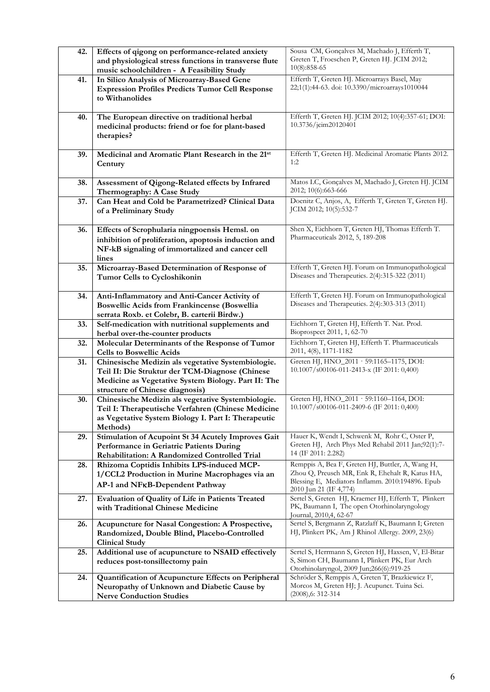| 42. | Effects of qigong on performance-related anxiety<br>and physiological stress functions in transverse flute<br>music schoolchildren - A Feasibility Study                                        | Sousa CM, Gonçalves M, Machado J, Efferth T,<br>Greten T, Froeschen P, Greten HJ. JCIM 2012;<br>$10(8):858-65$                                                                    |
|-----|-------------------------------------------------------------------------------------------------------------------------------------------------------------------------------------------------|-----------------------------------------------------------------------------------------------------------------------------------------------------------------------------------|
| 41. | In Silico Analysis of Microarray-Based Gene<br><b>Expression Profiles Predicts Tumor Cell Response</b><br>to Withanolides                                                                       | Efferth T, Greten HJ. Microarrays Basel, May<br>22;1(1):44-63. doi: 10.3390/microarrays1010044                                                                                    |
| 40. | The European directive on traditional herbal<br>medicinal products: friend or foe for plant-based<br>therapies?                                                                                 | Efferth T, Greten HJ. JCIM 2012; 10(4):357-61; DOI:<br>10.3736/jcim20120401                                                                                                       |
| 39. | Medicinal and Aromatic Plant Research in the 21st<br>Century                                                                                                                                    | Efferth T, Greten HJ. Medicinal Aromatic Plants 2012.<br>1:2                                                                                                                      |
| 38. | Assessment of Qigong-Related effects by Infrared<br>Thermography: A Case Study                                                                                                                  | Matos LC, Gonçalves M, Machado J, Greten HJ. JCIM<br>2012; 10(6):663-666                                                                                                          |
| 37. | Can Heat and Cold be Parametrized? Clinical Data<br>of a Preliminary Study                                                                                                                      | Doenitz C, Anjos, A, Efferth T, Greten T, Greten HJ.<br>JCIM 2012; 10(5):532-7                                                                                                    |
| 36. | Effects of Scrophularia ningpoensis Hemsl. on<br>inhibition of proliferation, apoptosis induction and<br>NF-kB signaling of immortalized and cancer cell<br>lines                               | Shen X, Eichhorn T, Greten HJ, Thomas Efferth T.<br>Pharmaceuticals 2012, 5, 189-208                                                                                              |
| 35. | Microarray-Based Determination of Response of<br>Tumor Cells to Cycloshikonin                                                                                                                   | Efferth T, Greten HJ. Forum on Immunopathological<br>Diseases and Therapeutics. 2(4):315-322 (2011)                                                                               |
| 34. | Anti-Inflammatory and Anti-Cancer Activity of<br><b>Boswellic Acids from Frankincense (Boswellia</b><br>serrata Roxb. et Colebr, B. carterii Birdw.)                                            | Efferth T, Greten HJ. Forum on Immunopathological<br>Diseases and Therapeutics. 2(4):303-313 (2011)                                                                               |
| 33. | Self-medication with nutritional supplements and<br>herbal over-the-counter products                                                                                                            | Eichhorn T, Greten HJ, Efferth T. Nat. Prod.<br>Bioprospect 2011, 1, 62-70                                                                                                        |
| 32. | Molecular Determinants of the Response of Tumor<br><b>Cells to Boswellic Acids</b>                                                                                                              | Eichhorn T, Greten HJ, Efferth T. Pharmaceuticals<br>2011, 4(8), 1171-1182                                                                                                        |
| 31. | Chinesische Medizin als vegetative Systembiologie.<br>Teil II: Die Struktur der TCM-Diagnose (Chinese<br>Medicine as Vegetative System Biology. Part II: The<br>structure of Chinese diagnosis) | Greten HJ, HNO_2011 · 59:1165-1175, DOI:<br>10.1007/s00106-011-2413-x (IF 2011: 0,400)                                                                                            |
| 30. | Chinesische Medizin als vegetative Systembiologie.<br>Teil I: Therapeutische Verfahren (Chinese Medicine<br>as Vegetative System Biology I. Part I: Therapeutic<br>Methods)                     | Greten HJ, HNO_2011 · 59:1160-1164, DOI:<br>10.1007/s00106-011-2409-6 (IF 2011: 0,400)                                                                                            |
| 29. | Stimulation of Acupoint St 34 Acutely Improves Gait<br>Performance in Geriatric Patients During<br>Rehabilitation: A Randomized Controlled Trial                                                | Hauer K, Wendt I, Schwenk M, Rohr C, Oster P,<br>Greten HJ, Arch Phys Med Rehabil 2011 Jan;92(1):7-<br>14 (IF 2011: 2.282)                                                        |
| 28. | Rhizoma Coptidis Inhibits LPS-induced MCP-<br>1/CCL2 Production in Murine Macrophages via an<br>AP-1 and NFKB-Dependent Pathway                                                                 | Remppis A, Bea F, Greten HJ, Buttler, A, Wang H,<br>Zhou Q, Preusch MR, Enk R, Ehehalt R, Katus HA,<br>Blessing E, Mediators Inflamm. 2010:194896. Epub<br>2010 Jun 21 (IF 4,774) |
| 27. | Evaluation of Quality of Life in Patients Treated<br>with Traditional Chinese Medicine                                                                                                          | Sertel S, Greten HJ, Kraemer HJ, Efferth T, Plinkert<br>PK, Baumann I, The open Otorhinolaryngology<br>Journal, 2010,4, 62-67                                                     |
| 26. | Acupuncture for Nasal Congestion: A Prospective,<br>Randomized, Double Blind, Placebo-Controlled<br><b>Clinical Study</b>                                                                       | Sertel S, Bergmann Z, Ratzlaff K, Baumann I; Greten<br>HJ, Plinkert PK, Am J Rhinol Allergy. 2009, 23(6)                                                                          |
| 25. | Additional use of acupuncture to NSAID effectively<br>reduces post-tonsillectomy pain                                                                                                           | Sertel S, Herrmann S, Greten HJ, Haxsen, V, El-Bitar<br>S, Simon CH, Baumann I, Plinkert PK, Eur Arch<br>Otorhinolaryngol, 2009 Jun;266(6):919-25                                 |
| 24. | Quantification of Acupuncture Effects on Peripheral<br>Neuropathy of Unknown and Diabetic Cause by<br><b>Nerve Conduction Studies</b>                                                           | Schröder S, Remppis A, Greten T, Brazkiewicz F,<br>Morcos M, Greten HJ; J. Acupunct. Tuina Sci.<br>$(2008)$ , 6: 312-314                                                          |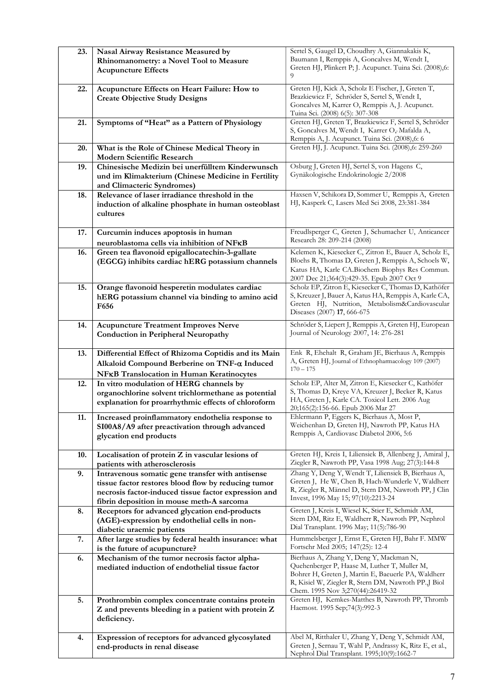| 23. | Nasal Airway Resistance Measured by<br>Rhinomanometry: a Novel Tool to Measure                                                                                                                               | Sertel S, Gaugel D, Choudhry A, Giannakakis K,<br>Baumann I, Remppis A, Goncalves M, Wendt I,<br>Greten HJ, Plinkert P; J. Acupunct. Tuina Sci. (2008),6:                                                                                   |
|-----|--------------------------------------------------------------------------------------------------------------------------------------------------------------------------------------------------------------|---------------------------------------------------------------------------------------------------------------------------------------------------------------------------------------------------------------------------------------------|
|     | <b>Acupuncture Effects</b>                                                                                                                                                                                   | 9                                                                                                                                                                                                                                           |
| 22. | Acupuncture Effects on Heart Failure: How to<br><b>Create Objective Study Designs</b>                                                                                                                        | Greten HJ, Kick A, Scholz E Fischer, J, Greten T,<br>Brazkiewicz F, Schröder S, Sertel S, Wendt I,                                                                                                                                          |
|     |                                                                                                                                                                                                              | Goncalves M, Karrer O, Remppis A, J. Acupunct.<br>Tuina Sci. (2008) 6(5): 307-308                                                                                                                                                           |
| 21. | Symptoms of "Heat" as a Pattern of Physiology                                                                                                                                                                | Greten HJ, Greten T, Brazkiewicz F, Sertel S, Schröder<br>S, Goncalves M, Wendt I, Karrer O, Mafalda A,<br>Remppis A, J. Acupunct. Tuina Sci. (2008), 6: 6                                                                                  |
| 20. | What is the Role of Chinese Medical Theory in<br>Modern Scientific Research                                                                                                                                  | Greten HJ, J. Acupunct. Tuina Sci. (2008), 6: 259-260                                                                                                                                                                                       |
| 19. | Chinesische Medizin bei unerfülltem Kinderwunsch<br>und im Klimakterium (Chinese Medicine in Fertility<br>and Climacteric Syndromes)                                                                         | Osburg J, Greten HJ, Sertel S, von Hagens C,<br>Gynäkologische Endokrinologie 2/2008                                                                                                                                                        |
| 18. | Relevance of laser irradiance threshold in the<br>induction of alkaline phosphate in human osteoblast<br>cultures                                                                                            | Haxsen V, Schikora D, Sommer U, Remppis A, Greten<br>HJ, Kasperk C, Lasers Med Sci 2008, 23:381-384                                                                                                                                         |
| 17. | Curcumin induces apoptosis in human<br>neuroblastoma cells via inhibition of NFKB                                                                                                                            | Freudlsperger C, Greten J, Schumacher U, Anticancer<br>Research 28: 209-214 (2008)                                                                                                                                                          |
| 16. | Green tea flavonoid epigallocatechin-3-gallate<br>(EGCG) inhibits cardiac hERG potassium channels                                                                                                            | Kelemen K, Kiesecker C, Zitron E, Bauer A, Scholz E,<br>Bloehs R, Thomas D, Greten J, Remppis A, Schoels W,                                                                                                                                 |
|     |                                                                                                                                                                                                              | Katus HA, Karle CA.Biochem Biophys Res Commun.<br>2007 Dec 21;364(3):429-35. Epub 2007 Oct 9                                                                                                                                                |
| 15. | Orange flavonoid hesperetin modulates cardiac<br>hERG potassium channel via binding to amino acid<br>F656                                                                                                    | Scholz EP, Zitron E, Kiesecker C, Thomas D, Kathöfer<br>S, Kreuzer J, Bauer A, Katus HA, Remppis A, Karle CA,<br>Greten HJ, Nutrition, Metabolism&Cardiovascular<br>Diseases (2007) 17, 666-675                                             |
| 14. | <b>Acupuncture Treatment Improves Nerve</b><br><b>Conduction in Peripheral Neuropathy</b>                                                                                                                    | Schröder S, Liepert J, Remppis A, Greten HJ, European<br>Journal of Neurology 2007, 14: 276-281                                                                                                                                             |
| 13. | Differential Effect of Rhizoma Coptidis and its Main<br>Alkaloid Compound Berberine on TNF-a Induced<br><b>NFKB</b> Translocation in Human Keratinocytes                                                     | Enk R, Ehehalt R, Graham JE, Bierhaus A, Remppis<br>A, Greten HJ, Journal of Ethnopharmacology 109 (2007)<br>$170 - 175$                                                                                                                    |
| 12. | In vitro modulation of HERG channels by<br>organochlorine solvent trichlormethane as potential<br>explanation for proarrhythmic effects of chloroform                                                        | Scholz EP, Alter M, Zitron E, Kiesecker C, Kathöfer<br>S, Thomas D, Kreye VA, Kreuzer J, Becker R, Katus<br>HA, Greten J, Karle CA. Toxicol Lett. 2006 Aug<br>20;165(2):156-66. Epub 2006 Mar 27                                            |
| 11. | Increased proinflammatory endothelia response to<br>SI00A8/A9 after preactivation through advanced<br>glycation end products                                                                                 | Ehlermann P, Eggers K, Bierhaus A, Most P,<br>Weichenhan D, Greten HJ, Nawroth PP, Katus HA<br>Remppis A, Cardiovasc Diabetol 2006, 5:6                                                                                                     |
| 10. | Localisation of protein Z in vascular lesions of<br>patients with atherosclerosis                                                                                                                            | Greten HJ, Kreis I, Liliensiek B, Allenberg J, Amiral J,<br>Ziegler R, Nawroth PP, Vasa 1998 Aug; 27(3):144-8                                                                                                                               |
| 9.  | Intravenous somatic gene transfer with antisense<br>tissue factor restores blood flow by reducing tumor<br>necrosis factor-induced tissue factor expression and<br>fibrin deposition in mouse meth-A sarcoma | Zhang Y, Deng Y, Wendt T, Liliensiek B, Bierhaus A,<br>Greten J, He W, Chen B, Hach-Wunderle V, Waldherr<br>R, Ziegler R, Männel D, Stern DM, Nawroth PP, J Clin<br>Invest, 1996 May 15; 97(10):2213-24                                     |
| 8.  | Receptors for advanced glycation end-products<br>(AGE)-expression by endothelial cells in non-<br>diabetic uraemic patients                                                                                  | Greten J, Kreis I, Wiesel K, Stier E, Schmidt AM,<br>Stern DM, Ritz E, Waldherr R, Nawroth PP, Nephrol<br>Dial Transplant. 1996 May; 11(5):786-90                                                                                           |
| 7.  | After large studies by federal health insurance: what<br>is the future of acupuncture?                                                                                                                       | Hummelsberger J, Ernst E, Greten HJ, Bahr F. MMW<br>Fortschr Med 2005; 147(25): 12-4                                                                                                                                                        |
| 6.  | Mechanism of the tumor necrosis factor alpha-<br>mediated induction of endothelial tissue factor                                                                                                             | Bierhaus A, Zhang Y, Deng Y, Mackman N,<br>Quehenberger P, Haase M, Luther T, Muller M,<br>Bohrer H, Greten J, Martin E, Baeuerle PA, Waldherr<br>R, Kisiel W, Ziegler R, Stern DM, Nawroth PP.,J Biol<br>Chem. 1995 Nov 3;270(44):26419-32 |
| 5.  | Prothrombin complex concentrate contains protein<br>Z and prevents bleeding in a patient with protein Z<br>deficiency.                                                                                       | Greten HJ, Kemkes-Matthes B, Nawroth PP, Thromb<br>Haemost. 1995 Sep;74(3):992-3                                                                                                                                                            |
| 4.  | Expression of receptors for advanced glycosylated<br>end-products in renal disease                                                                                                                           | Abel M, Ritthaler U, Zhang Y, Deng Y, Schmidt AM,<br>Greten J, Sernau T, Wahl P, Andrassy K, Ritz E, et al.,<br>Nephrol Dial Transplant. 1995;10(9):1662-7                                                                                  |